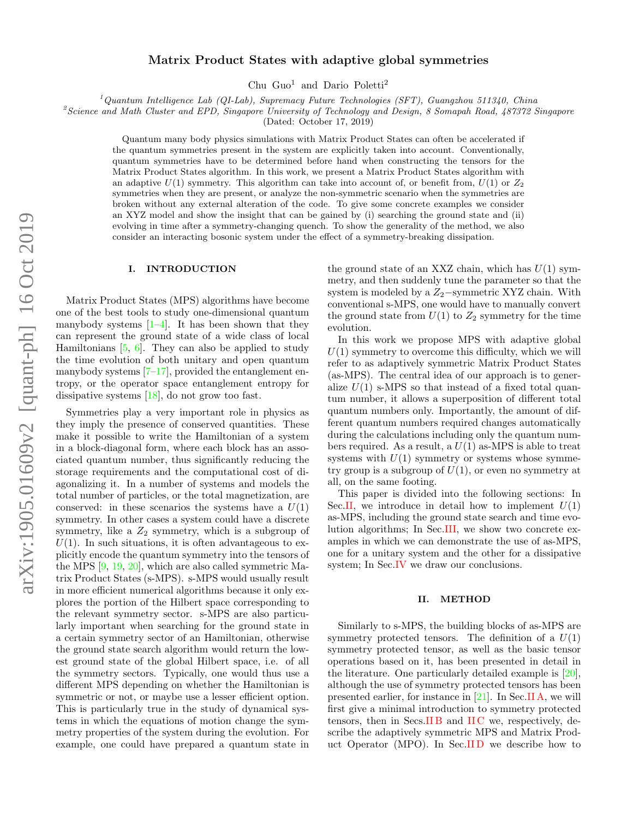# Matrix Product States with adaptive global symmetries

Chu Guo<sup>1</sup> and Dario Poletti<sup>2</sup>

 $1$ Quantum Intelligence Lab (QI-Lab), Supremacy Future Technologies (SFT), Guangzhou 511340, China

<sup>2</sup>Science and Math Cluster and EPD, Singapore University of Technology and Design, 8 Somapah Road, 487372 Singapore

(Dated: October 17, 2019)

Quantum many body physics simulations with Matrix Product States can often be accelerated if the quantum symmetries present in the system are explicitly taken into account. Conventionally, quantum symmetries have to be determined before hand when constructing the tensors for the Matrix Product States algorithm. In this work, we present a Matrix Product States algorithm with an adaptive  $U(1)$  symmetry. This algorithm can take into account of, or benefit from,  $U(1)$  or  $Z_2$ symmetries when they are present, or analyze the non-symmetric scenario when the symmetries are broken without any external alteration of the code. To give some concrete examples we consider an XYZ model and show the insight that can be gained by (i) searching the ground state and (ii) evolving in time after a symmetry-changing quench. To show the generality of the method, we also consider an interacting bosonic system under the effect of a symmetry-breaking dissipation.

#### I. INTRODUCTION

Matrix Product States (MPS) algorithms have become one of the best tools to study one-dimensional quantum manybody systems  $[1-4]$  $[1-4]$ . It has been shown that they can represent the ground state of a wide class of local Hamiltonians [\[5,](#page-7-2) [6\]](#page-7-3). They can also be applied to study the time evolution of both unitary and open quantum manybody systems  $[7-17]$  $[7-17]$ , provided the entanglement entropy, or the operator space entanglement entropy for dissipative systems [\[18\]](#page-7-6), do not grow too fast.

Symmetries play a very important role in physics as they imply the presence of conserved quantities. These make it possible to write the Hamiltonian of a system in a block-diagonal form, where each block has an associated quantum number, thus significantly reducing the storage requirements and the computational cost of diagonalizing it. In a number of systems and models the total number of particles, or the total magnetization, are conserved: in these scenarios the systems have a  $U(1)$ symmetry. In other cases a system could have a discrete symmetry, like a  $Z_2$  symmetry, which is a subgroup of  $U(1)$ . In such situations, it is often advantageous to explicitly encode the quantum symmetry into the tensors of the MPS [\[9,](#page-7-7) [19,](#page-7-8) [20\]](#page-7-9), which are also called symmetric Matrix Product States (s-MPS). s-MPS would usually result in more efficient numerical algorithms because it only explores the portion of the Hilbert space corresponding to the relevant symmetry sector. s-MPS are also particularly important when searching for the ground state in a certain symmetry sector of an Hamiltonian, otherwise the ground state search algorithm would return the lowest ground state of the global Hilbert space, i.e. of all the symmetry sectors. Typically, one would thus use a different MPS depending on whether the Hamiltonian is symmetric or not, or maybe use a lesser efficient option. This is particularly true in the study of dynamical systems in which the equations of motion change the symmetry properties of the system during the evolution. For example, one could have prepared a quantum state in

the ground state of an XXZ chain, which has  $U(1)$  symmetry, and then suddenly tune the parameter so that the system is modeled by a  $Z_2$ −symmetric XYZ chain. With conventional s-MPS, one would have to manually convert the ground state from  $U(1)$  to  $Z_2$  symmetry for the time evolution.

In this work we propose MPS with adaptive global  $U(1)$  symmetry to overcome this difficulty, which we will refer to as adaptively symmetric Matrix Product States (as-MPS). The central idea of our approach is to generalize  $U(1)$  s-MPS so that instead of a fixed total quantum number, it allows a superposition of different total quantum numbers only. Importantly, the amount of different quantum numbers required changes automatically during the calculations including only the quantum numbers required. As a result, a  $U(1)$  as-MPS is able to treat systems with  $U(1)$  symmetry or systems whose symmetry group is a subgroup of  $U(1)$ , or even no symmetry at all, on the same footing.

This paper is divided into the following sections: In Sec[.II,](#page-0-0) we introduce in detail how to implement  $U(1)$ as-MPS, including the ground state search and time evolution algorithms; In Sec[.III,](#page-4-0) we show two concrete examples in which we can demonstrate the use of as-MPS, one for a unitary system and the other for a dissipative system; In Sec[.IV](#page-6-0) we draw our conclusions.

#### <span id="page-0-0"></span>II. METHOD

Similarly to s-MPS, the building blocks of as-MPS are symmetry protected tensors. The definition of a  $U(1)$ symmetry protected tensor, as well as the basic tensor operations based on it, has been presented in detail in the literature. One particularly detailed example is [\[20\]](#page-7-9), although the use of symmetry protected tensors has been presented earlier, for instance in [\[21\]](#page-7-10). In Sec[.II A,](#page-1-0) we will first give a minimal introduction to symmetry protected tensors, then in Secs[.II B](#page-1-1) and [II C](#page-2-0) we, respectively, describe the adaptively symmetric MPS and Matrix Product Operator (MPO). In Sec[.II D](#page-2-1) we describe how to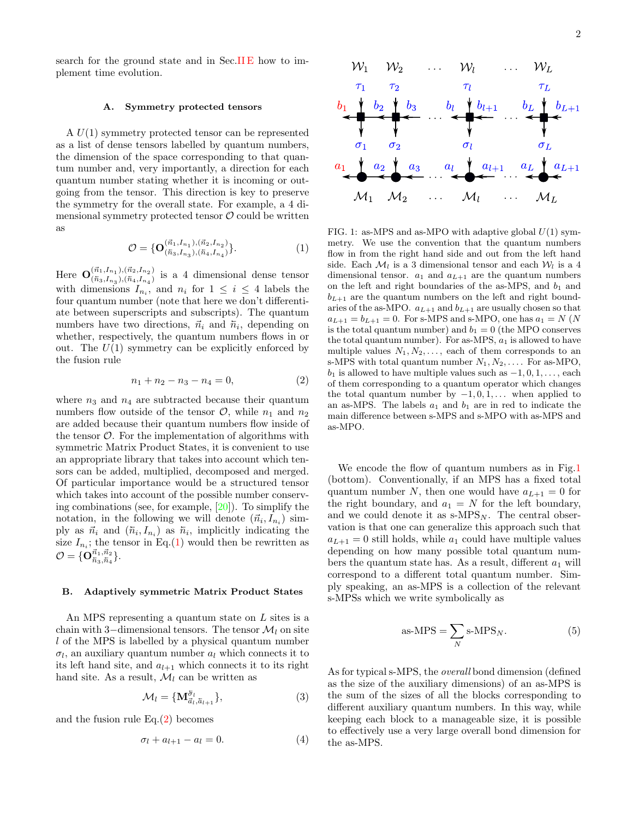search for the ground state and in Sec.IIE how to implement time evolution.

## <span id="page-1-0"></span>A. Symmetry protected tensors

A U(1) symmetry protected tensor can be represented as a list of dense tensors labelled by quantum numbers, the dimension of the space corresponding to that quantum number and, very importantly, a direction for each quantum number stating whether it is incoming or outgoing from the tensor. This direction is key to preserve the symmetry for the overall state. For example, a 4 dimensional symmetry protected tensor  $\mathcal O$  could be written as

$$
\mathcal{O} = \{ \mathbf{O}^{(\vec{n}_1, I_{n_1}), (\vec{n}_2, I_{n_2})}_{(\vec{n}_3, I_{n_3}), (\vec{n}_4, I_{n_4})} \}. \tag{1}
$$

Here  $\mathbf{O}^{(\vec{n}_1,I_{n_1}),(\vec{n}_2,I_{n_2})}_{(\vec{n}_1,I_{n_1})}$  $(\tilde{n}_3, I_{n_3}),(\tilde{n}_4, I_{n_4})$  is a 4 dimensional dense tensor with dimensions  $I_{n_i}$ , and  $n_i$  for  $1 \leq i \leq 4$  labels the four quantum number (note that here we don't differentiate between superscripts and subscripts). The quantum numbers have two directions,  $\vec{n}_i$  and  $\vec{n}_i$ , depending on whether, respectively, the quantum numbers flows in or out. The  $U(1)$  symmetry can be explicitly enforced by the fusion rule

$$
n_1 + n_2 - n_3 - n_4 = 0,\t\t(2)
$$

where  $n_3$  and  $n_4$  are subtracted because their quantum numbers flow outside of the tensor  $\mathcal{O}$ , while  $n_1$  and  $n_2$ are added because their quantum numbers flow inside of the tensor  $\mathcal{O}$ . For the implementation of algorithms with symmetric Matrix Product States, it is convenient to use an appropriate library that takes into account which tensors can be added, multiplied, decomposed and merged. Of particular importance would be a structured tensor which takes into account of the possible number conserving combinations (see, for example, [\[20\]](#page-7-9)). To simplify the notation, in the following we will denote  $(\vec{n}_i, I_{n_i})$  simply as  $\vec{n}_i$  and  $(\vec{n}_i, I_{n_i})$  as  $\vec{n}_i$ , implicitly indicating the size  $I_{n_i}$ ; the tensor in Eq.[\(1\)](#page-1-2) would then be rewritten as  $\mathcal{O} = \{\mathbf{O}^{\vec{n}_1, \vec{n}_2}_{\bar{n}_3, \bar{n}_4} \}.$ 

#### <span id="page-1-1"></span>B. Adaptively symmetric Matrix Product States

An MPS representing a quantum state on L sites is a chain with 3–dimensional tensors. The tensor  $\mathcal{M}_l$  on site l of the MPS is labelled by a physical quantum number  $\sigma_l$ , an auxiliary quantum number  $a_l$  which connects it to its left hand site, and  $a_{l+1}$  which connects it to its right hand site. As a result,  $\mathcal{M}_l$  can be written as

$$
\mathcal{M}_l = \{ \mathbf{M}_{\vec{a}_l, \tilde{a}_{l+1}}^{\tilde{\sigma}_l} \},\tag{3}
$$

and the fusion rule  $Eq.(2)$  $Eq.(2)$  becomes

$$
\sigma_l + a_{l+1} - a_l = 0. \tag{4}
$$



<span id="page-1-4"></span><span id="page-1-2"></span>FIG. 1: as-MPS and as-MPO with adaptive global  $U(1)$  symmetry. We use the convention that the quantum numbers flow in from the right hand side and out from the left hand side. Each  $\mathcal{M}_l$  is a 3 dimensional tensor and each  $\mathcal{W}_l$  is a 4 dimensional tensor.  $a_1$  and  $a_{L+1}$  are the quantum numbers on the left and right boundaries of the as-MPS, and  $b_1$  and  $b_{L+1}$  are the quantum numbers on the left and right boundaries of the as-MPO.  $a_{L+1}$  and  $b_{L+1}$  are usually chosen so that  $a_{L+1} = b_{L+1} = 0$ . For s-MPS and s-MPO, one has  $a_1 = N$  (N is the total quantum number) and  $b_1 = 0$  (the MPO conserves the total quantum number). For as-MPS,  $a_1$  is allowed to have multiple values  $N_1, N_2, \ldots$ , each of them corresponds to an s-MPS with total quantum number  $N_1, N_2, \ldots$ . For as-MPO,  $b_1$  is allowed to have multiple values such as  $-1, 0, 1, \ldots$ , each of them corresponding to a quantum operator which changes the total quantum number by  $-1, 0, 1, \ldots$  when applied to an as-MPS. The labels  $a_1$  and  $b_1$  are in red to indicate the main difference between s-MPS and s-MPO with as-MPS and as-MPO.

<span id="page-1-3"></span>We encode the flow of quantum numbers as in Fig[.1](#page-1-4) (bottom). Conventionally, if an MPS has a fixed total quantum number N, then one would have  $a_{L+1} = 0$  for the right boundary, and  $a_1 = N$  for the left boundary, and we could denote it as  $s\text{-MPS}_N$ . The central observation is that one can generalize this approach such that  $a_{L+1} = 0$  still holds, while  $a_1$  could have multiple values depending on how many possible total quantum numbers the quantum state has. As a result, different  $a_1$  will correspond to a different total quantum number. Simply speaking, an as-MPS is a collection of the relevant s-MPSs which we write symbolically as

as-MPS = 
$$
\sum_{N} s \cdot \text{MPS}_N.
$$
 (5)

As for typical s-MPS, the overall bond dimension (defined as the size of the auxiliary dimensions) of an as-MPS is the sum of the sizes of all the blocks corresponding to different auxiliary quantum numbers. In this way, while keeping each block to a manageable size, it is possible to effectively use a very large overall bond dimension for the as-MPS.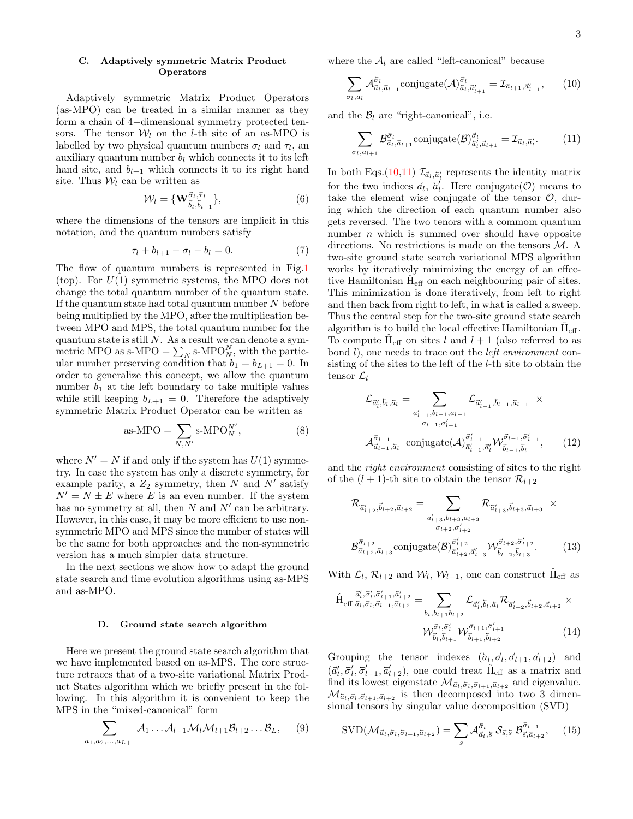### <span id="page-2-0"></span>C. Adaptively symmetric Matrix Product Operators

Adaptively symmetric Matrix Product Operators (as-MPO) can be treated in a similar manner as they form a chain of 4−dimensional symmetry protected tensors. The tensor  $W_l$  on the *l*-th site of an as-MPO is labelled by two physical quantum numbers  $\sigma_l$  and  $\tau_l$ , and auxiliary quantum number  $b_l$  which connects it to its left hand site, and  $b_{l+1}$  which connects it to its right hand site. Thus  $W_l$  can be written as

$$
\mathcal{W}_l = \{ \mathbf{W}_{\vec{b}_l, \vec{b}_{l+1}}^{\vec{\sigma}_l, \vec{\tau}_l} \},\tag{6}
$$

where the dimensions of the tensors are implicit in this notation, and the quantum numbers satisfy

$$
\tau_l + b_{l+1} - \sigma_l - b_l = 0. \tag{7}
$$

The flow of quantum numbers is represented in Fig[.1](#page-1-4) (top). For  $U(1)$  symmetric systems, the MPO does not change the total quantum number of the quantum state. If the quantum state had total quantum number  $N$  before being multiplied by the MPO, after the multiplication between MPO and MPS, the total quantum number for the quantum state is still  $N$ . As a result we can denote a symmetric MPO as s-MPO =  $\sum_{N}$  s-MPO $_N^N$ , with the particular number preserving condition that  $b_1 = b_{L+1} = 0$ . In order to generalize this concept, we allow the quantum number  $b_1$  at the left boundary to take multiple values while still keeping  $b_{L+1} = 0$ . Therefore the adaptively symmetric Matrix Product Operator can be written as

as-MPO = 
$$
\sum_{N,N'} s\text{-MPO}_N^{N'},
$$
 (8)

where  $N' = N$  if and only if the system has  $U(1)$  symmetry. In case the system has only a discrete symmetry, for example parity, a  $Z_2$  symmetry, then N and N' satisfy  $N' = N \pm E$  where E is an even number. If the system has no symmetry at all, then  $N$  and  $N'$  can be arbitrary. However, in this case, it may be more efficient to use nonsymmetric MPO and MPS since the number of states will be the same for both approaches and the non-symmetric version has a much simpler data structure.

In the next sections we show how to adapt the ground state search and time evolution algorithms using as-MPS and as-MPO.

#### <span id="page-2-1"></span>D. Ground state search algorithm

Here we present the ground state search algorithm that we have implemented based on as-MPS. The core structure retraces that of a two-site variational Matrix Product States algorithm which we briefly present in the following. In this algorithm it is convenient to keep the MPS in the "mixed-canonical" form

$$
\sum_{a_1, a_2, \dots, a_{L+1}} \mathcal{A}_1 \dots \mathcal{A}_{l-1} \mathcal{M}_l \mathcal{M}_{l+1} \mathcal{B}_{l+2} \dots \mathcal{B}_L, \quad (9)
$$

where the  $A_l$  are called "left-canonical" because

<span id="page-2-2"></span>
$$
\sum_{\sigma_l, a_l} \mathcal{A}_{\vec{a}_l, \vec{a}_{l+1}}^{\sigma_l} \text{conjugate}(\mathcal{A})_{\vec{a}_l, \vec{a}_{l+1}}^{\vec{\sigma}_l} = \mathcal{I}_{\vec{a}_{l+1}, \vec{a}_{l+1}}\tag{10}
$$

and the  $B_l$  are "right-canonical", i.e.

<span id="page-2-3"></span>
$$
\sum_{\sigma_l, a_{l+1}} \mathcal{B}_{\vec{a}_l, \vec{a}_{l+1}}^{\vec{\sigma}_l} \text{conjugate}(\mathcal{B})_{\vec{a}_l', \vec{a}_{l+1}}^{\vec{\sigma}_l} = \mathcal{I}_{\vec{a}_l, \vec{a}_l'}.
$$
(11)

In both Eqs.[\(10,](#page-2-2)[11\)](#page-2-3)  $\mathcal{I}_{\vec{a}_l, \vec{a}'_l}$  represents the identity matrix for the two indices  $\vec{a}_l$ ,  $\vec{a}'_l$ . Here conjugate( $\mathcal{O}$ ) means to take the element wise conjugate of the tensor  $\mathcal{O}$ , during which the direction of each quantum number also gets reversed. The two tenors with a commom quantum number  $n$  which is summed over should have opposite directions. No restrictions is made on the tensors M. A two-site ground state search variational MPS algorithm works by iteratively minimizing the energy of an effective Hamiltonian  $\hat{H}_{\text{eff}}$  on each neighbouring pair of sites. This minimization is done iteratively, from left to right and then back from right to left, in what is called a sweep. Thus the central step for the two-site ground state search algorithm is to build the local effective Hamiltonian  $\hat{H}_{eff}$ . To compute  $\hat{H}_{eff}$  on sites l and  $l+1$  (also referred to as bond  $l$ ), one needs to trace out the *left environment* consisting of the sites to the left of the l-th site to obtain the tensor  $\mathcal{L}_l$ 

$$
\mathcal{L}_{\vec{a}'_l, \vec{b}_l, \vec{a}_l} = \sum_{\substack{a'_{l-1}, b_{l-1}, a_{l-1} \\ \sigma_{l-1}, \sigma'_{l-1}}} \mathcal{L}_{\vec{a}'_{l-1}, \vec{b}_{l-1}, \vec{a}_{l-1}} \times \n\mathcal{A}_{\vec{a}_{l-1}, \vec{a}_l}^{\vec{\sigma}_{l-1}} \text{conjugate}(\mathcal{A})_{\vec{a}'_{l-1}, \vec{a}'_l}^{\vec{\sigma}'_{l-1}} \mathcal{W}_{\vec{b}_{l-1}, \vec{b}_l}^{\vec{\sigma}_{l-1}, \vec{\sigma}'_{l-1}}, \qquad (12)
$$

<span id="page-2-4"></span>and the right environment consisting of sites to the right of the  $(l + 1)$ -th site to obtain the tensor  $\mathcal{R}_{l+2}$ 

$$
\mathcal{R}_{\tilde{a}'_{l+2}, \vec{b}_{l+2}, \vec{a}_{l+2}} = \sum_{\substack{a'_{l+3}, b_{l+3}, a_{l+3} \\ \sigma_{l+2}, \sigma'_{l+2}}} \mathcal{R}_{\tilde{a}'_{l+3}, \vec{b}_{l+3}, \vec{a}_{l+3}} \times \n\mathcal{B}_{\tilde{a}_{l+2}, \tilde{a}_{l+3}}^{\tilde{\sigma}_{l+2}} \text{conjugate}(\mathcal{B})_{\tilde{a}'_{l+2}, \vec{a}'_{l+3}}^{\tilde{\sigma}'_{l+2}} \mathcal{W}_{\tilde{b}_{l+2}, \tilde{b}_{l+3}}^{\tilde{\sigma}_{l+2}, \tilde{\sigma}'_{l+2}}.
$$
\n(13)

With  $\mathcal{L}_l$ ,  $\mathcal{R}_{l+2}$  and  $\mathcal{W}_l$ ,  $\mathcal{W}_{l+1}$ , one can construct  $\hat{H}_{eff}$  as

$$
\hat{H}_{\text{eff}} \frac{\vec{a}'_i, \vec{\sigma}'_i, \vec{a}'_{i+1}, \vec{a}'_{i+2}}{\vec{a}_{t}, \vec{b}_{t+1}, \vec{a}_{t+2}} = \sum_{b_l, b_{l+1}b_{l+2}} \mathcal{L}_{\vec{a}'_l, \vec{b}_l, \vec{a}_l} \mathcal{R}_{\vec{a}'_{l+2}, \vec{b}_{l+2}, \vec{a}_{l+2}} \times \n\mathcal{W}_{\vec{b}_l, \vec{b}_{l+1}}^{\vec{\sigma}_l, \vec{\sigma}'_l} \mathcal{W}_{\vec{b}_{l+1}, \vec{b}_{l+2}}^{\vec{\sigma}_{l+1}, \vec{\sigma}'_{l+1}} \tag{14}
$$

Grouping the tensor indexes  $(\bar{a}_l, \vec{\sigma}_l, \vec{\sigma}_{l+1}, \vec{a}_{l+2})$  and  $(\vec{a}'_l, \vec{\sigma}'_l, \vec{\sigma}'_{l+1}, \vec{a}'_{l+2})$ , one could treat  $\hat{H}_{eff}$  as a matrix and find its lowest eigenstate  $\mathcal{M}_{\vec{a}_l,\vec{\sigma}_l,\vec{\sigma}_{l+1},\vec{a}_{l+2}}$  and eigenvalue.  $\mathcal{M}_{\bar{a}_l,\vec{\sigma}_l,\vec{\sigma}_{l+1},\vec{a}_{l+2}}$  is then decomposed into two 3 dimensional tensors by singular value decomposition (SVD)

$$
SVD(\mathcal{M}_{\vec{a}_l,\vec{\sigma}_l,\vec{\sigma}_{l+1},\vec{a}_{l+2}}) = \sum_{s} \mathcal{A}_{\vec{a}_l,\bar{s}}^{\vec{\sigma}_l} \mathcal{S}_{\vec{s},\bar{s}} \; \mathcal{B}_{\vec{s},\vec{a}_{l+2}}^{\vec{\sigma}_{l+1}}, \quad (15)
$$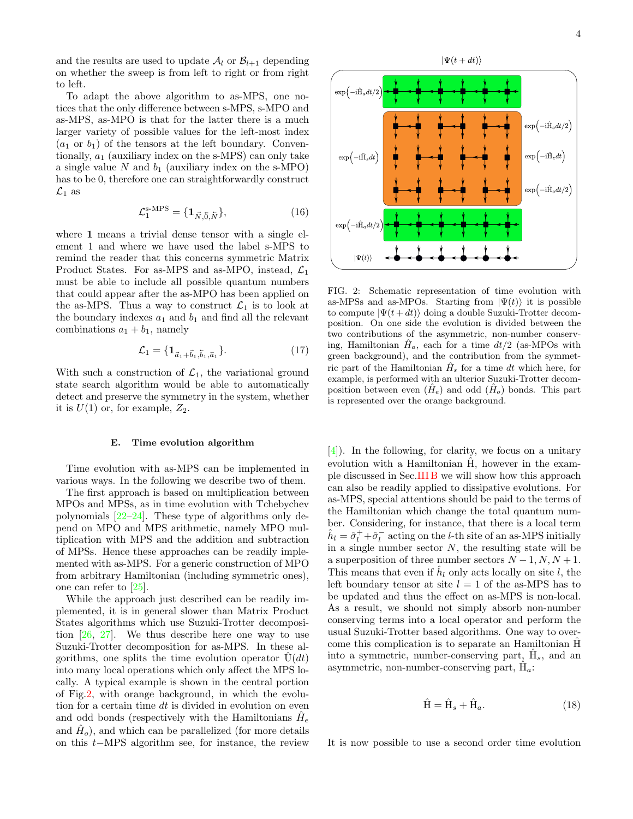and the results are used to update  $A_l$  or  $B_{l+1}$  depending on whether the sweep is from left to right or from right to left.

To adapt the above algorithm to as-MPS, one notices that the only difference between s-MPS, s-MPO and as-MPS, as-MPO is that for the latter there is a much larger variety of possible values for the left-most index  $(a_1 \text{ or } b_1)$  of the tensors at the left boundary. Conventionally,  $a_1$  (auxiliary index on the s-MPS) can only take a single value  $N$  and  $b_1$  (auxiliary index on the s-MPO) has to be 0, therefore one can straightforwardly construct  $\mathcal{L}_1$  as

$$
\mathcal{L}_1^{\text{s-MPS}} = \{ \mathbf{1}_{\vec{N}, \vec{0}, \vec{N}} \},\tag{16}
$$

where 1 means a trivial dense tensor with a single element 1 and where we have used the label s-MPS to remind the reader that this concerns symmetric Matrix Product States. For as-MPS and as-MPO, instead,  $\mathcal{L}_1$ must be able to include all possible quantum numbers that could appear after the as-MPO has been applied on the as-MPS. Thus a way to construct  $\mathcal{L}_1$  is to look at the boundary indexes  $a_1$  and  $b_1$  and find all the relevant combinations  $a_1 + b_1$ , namely

$$
\mathcal{L}_1 = \{ \mathbf{1}_{\vec{a}_1 + \vec{b}_1, \vec{b}_1, \vec{a}_1} \}.
$$
 (17)

With such a construction of  $\mathcal{L}_1$ , the variational ground state search algorithm would be able to automatically detect and preserve the symmetry in the system, whether it is  $U(1)$  or, for example,  $Z_2$ .

### <span id="page-3-0"></span>E. Time evolution algorithm

Time evolution with as-MPS can be implemented in various ways. In the following we describe two of them.

The first approach is based on multiplication between MPOs and MPSs, as in time evolution with Tchebychev polynomials [\[22–](#page-7-11)[24\]](#page-7-12). These type of algorithms only depend on MPO and MPS arithmetic, namely MPO multiplication with MPS and the addition and subtraction of MPSs. Hence these approaches can be readily implemented with as-MPS. For a generic construction of MPO from arbitrary Hamiltonian (including symmetric ones), one can refer to [\[25\]](#page-7-13).

While the approach just described can be readily implemented, it is in general slower than Matrix Product States algorithms which use Suzuki-Trotter decomposition [\[26,](#page-7-14) [27\]](#page-7-15). We thus describe here one way to use Suzuki-Trotter decomposition for as-MPS. In these algorithms, one splits the time evolution operator  $\hat{U}(dt)$ into many local operations which only affect the MPS locally. A typical example is shown in the central portion of Fig[.2,](#page-3-1) with orange background, in which the evolution for a certain time dt is divided in evolution on even and odd bonds (respectively with the Hamiltonians  $\hat{H}_e$ and  $\hat{H}_o$ ), and which can be parallelized (for more details on this t−MPS algorithm see, for instance, the review



<span id="page-3-1"></span>FIG. 2: Schematic representation of time evolution with as-MPSs and as-MPOs. Starting from  $|\Psi(t)\rangle$  it is possible to compute  $|\Psi(t+dt)\rangle$  doing a double Suzuki-Trotter decomposition. On one side the evolution is divided between the two contributions of the asymmetric, non-number conserving, Hamiltonian  $H_a$ , each for a time  $dt/2$  (as-MPOs with green background), and the contribution from the symmetric part of the Hamiltonian  $\hat{H}_s$  for a time dt which here, for example, is performed with an ulterior Suzuki-Trotter decomposition between even  $(H_e)$  and odd  $(H_o)$  bonds. This part is represented over the orange background.

[\[4\]](#page-7-1)). In the following, for clarity, we focus on a unitary evolution with a Hamiltonian  $\hat{H}$ , however in the example discussed in Sec[.III B](#page-5-0) we will show how this approach can also be readily applied to dissipative evolutions. For as-MPS, special attentions should be paid to the terms of the Hamiltonian which change the total quantum number. Considering, for instance, that there is a local term  $\hat{h}_l = \hat{\sigma}_l^+ + \hat{\sigma}_l^-$  acting on the *l*-th site of an as-MPS initially in a single number sector  $N$ , the resulting state will be a superposition of three number sectors  $N-1, N, N+1$ . This means that even if  $\hat{h}_l$  only acts locally on site l, the left boundary tensor at site  $l = 1$  of the as-MPS has to be updated and thus the effect on as-MPS is non-local. As a result, we should not simply absorb non-number conserving terms into a local operator and perform the usual Suzuki-Trotter based algorithms. One way to overcome this complication is to separate an Hamiltonian H into a symmetric, number-conserving part,  $\hat{H}_s$ , and an asymmetric, non-number-conserving part,  $\hat{H}_a$ :

$$
\hat{H} = \hat{H}_s + \hat{H}_a.
$$
\n(18)

It is now possible to use a second order time evolution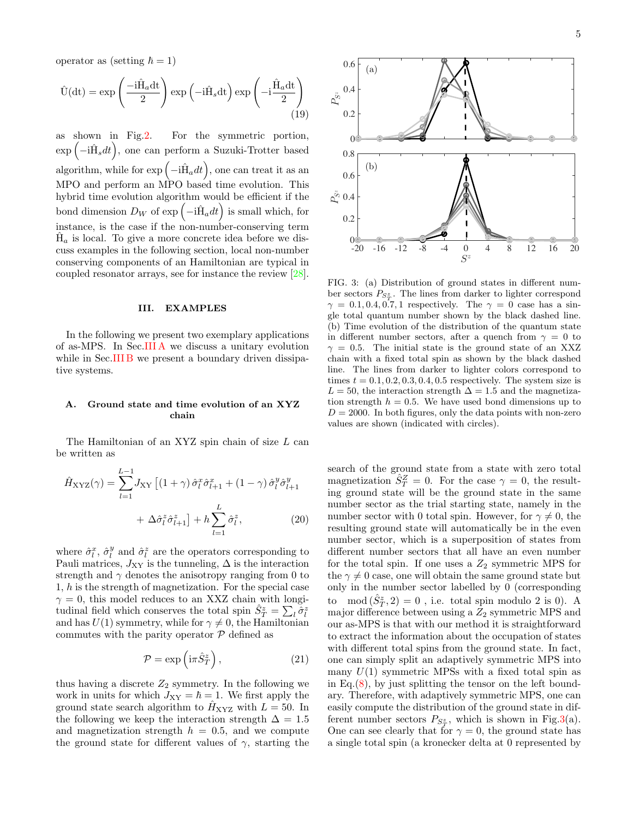$$
\hat{U}(dt) = \exp\left(\frac{-i\hat{H}_a dt}{2}\right) \exp\left(-i\hat{H}_s dt\right) \exp\left(-i\frac{\hat{H}_a dt}{2}\right)
$$
\n(19)

as shown in Fig[.2.](#page-3-1) For the symmetric portion,  $\exp(-i\hat{H}_s dt)$ , one can perform a Suzuki-Trotter based algorithm, while for  $\exp(-i\hat{H}_a dt)$ , one can treat it as an MPO and perform an MPO based time evolution. This hybrid time evolution algorithm would be efficient if the bond dimension  $D_W$  of  $\exp(-i\hat{H}_a dt)$  is small which, for instance, is the case if the non-number-conserving term  $\hat{H}_a$  is local. To give a more concrete idea before we discuss examples in the following section, local non-number conserving components of an Hamiltonian are typical in coupled resonator arrays, see for instance the review [\[28\]](#page-7-16).

### <span id="page-4-0"></span>III. EXAMPLES

In the following we present two exemplary applications of as-MPS. In Sec[.III A](#page-4-1) we discuss a unitary evolution while in Sec[.III B](#page-5-0) we present a boundary driven dissipative systems.

### <span id="page-4-1"></span>A. Ground state and time evolution of an XYZ chain

The Hamiltonian of an XYZ spin chain of size L can be written as

$$
\hat{H}_{\text{XYZ}}(\gamma) = \sum_{l=1}^{L-1} J_{\text{XY}} \left[ (1+\gamma) \hat{\sigma}_l^x \hat{\sigma}_{l+1}^x + (1-\gamma) \hat{\sigma}_l^y \hat{\sigma}_{l+1}^y \right] + \Delta \hat{\sigma}_l^z \hat{\sigma}_{l+1}^z \right] + h \sum_{l=1}^L \hat{\sigma}_l^z,
$$
\n(20)

where  $\hat{\sigma}_l^x$ ,  $\hat{\sigma}_l^y$  and  $\hat{\sigma}_l^z$  are the operators corresponding to Pauli matrices,  $J_{XY}$  is the tunneling,  $\Delta$  is the interaction strength and  $\gamma$  denotes the anisotropy ranging from 0 to 1, h is the strength of magnetization. For the special case  $\gamma = 0$ , this model reduces to an XXZ chain with longitudinal field which conserves the total spin  $\hat{S}_{T}^{z} = \sum_{l} \check{\hat{\sigma}}_{l}^{z}$ and has  $U(1)$  symmetry, while for  $\gamma \neq 0$ , the Hamiltonian commutes with the parity operator  $P$  defined as

$$
\mathcal{P} = \exp\left(i\pi \hat{S}_T^z\right),\tag{21}
$$

thus having a discrete  $Z_2$  symmetry. In the following we work in units for which  $J_{XY} = \hbar = 1$ . We first apply the ground state search algorithm to  $\hat{H}_{XYZ}$  with  $L = 50$ . In the following we keep the interaction strength  $\Delta = 1.5$ and magnetization strength  $h = 0.5$ , and we compute the ground state for different values of  $\gamma$ , starting the



<span id="page-4-2"></span>FIG. 3: (a) Distribution of ground states in different number sectors  $P_{S_T^z}$ . The lines from darker to lighter correspond  $\gamma = 0.1, 0.4, 0.7, 1$  respectively. The  $\gamma = 0$  case has a single total quantum number shown by the black dashed line. (b) Time evolution of the distribution of the quantum state in different number sectors, after a quench from  $\gamma = 0$  to  $\gamma = 0.5$ . The initial state is the ground state of an XXZ chain with a fixed total spin as shown by the black dashed line. The lines from darker to lighter colors correspond to times  $t = 0.1, 0.2, 0.3, 0.4, 0.5$  respectively. The system size is  $L = 50$ , the interaction strength  $\Delta = 1.5$  and the magnetization strength  $h = 0.5$ . We have used bond dimensions up to  $D = 2000$ . In both figures, only the data points with non-zero values are shown (indicated with circles).

<span id="page-4-3"></span>search of the ground state from a state with zero total magnetization  $\hat{S}_T^Z = 0$ . For the case  $\gamma = 0$ , the resulting ground state will be the ground state in the same number sector as the trial starting state, namely in the number sector with 0 total spin. However, for  $\gamma \neq 0$ , the resulting ground state will automatically be in the even number sector, which is a superposition of states from different number sectors that all have an even number for the total spin. If one uses a  $Z_2$  symmetric MPS for the  $\gamma \neq 0$  case, one will obtain the same ground state but only in the number sector labelled by 0 (corresponding to  $mod(\hat{S}_{T}^{z}, 2) = 0$ , i.e. total spin modulo 2 is 0). A major difference between using a  $Z_2$  symmetric MPS and our as-MPS is that with our method it is straightforward to extract the information about the occupation of states with different total spins from the ground state. In fact, one can simply split an adaptively symmetric MPS into many  $U(1)$  symmetric MPSs with a fixed total spin as in Eq. $(8)$ , by just splitting the tensor on the left boundary. Therefore, with adaptively symmetric MPS, one can easily compute the distribution of the ground state in different number sectors  $P_{S_T^z}$ , which is shown in Fig[.3\(](#page-4-2)a). One can see clearly that for  $\gamma = 0$ , the ground state has a single total spin (a kronecker delta at 0 represented by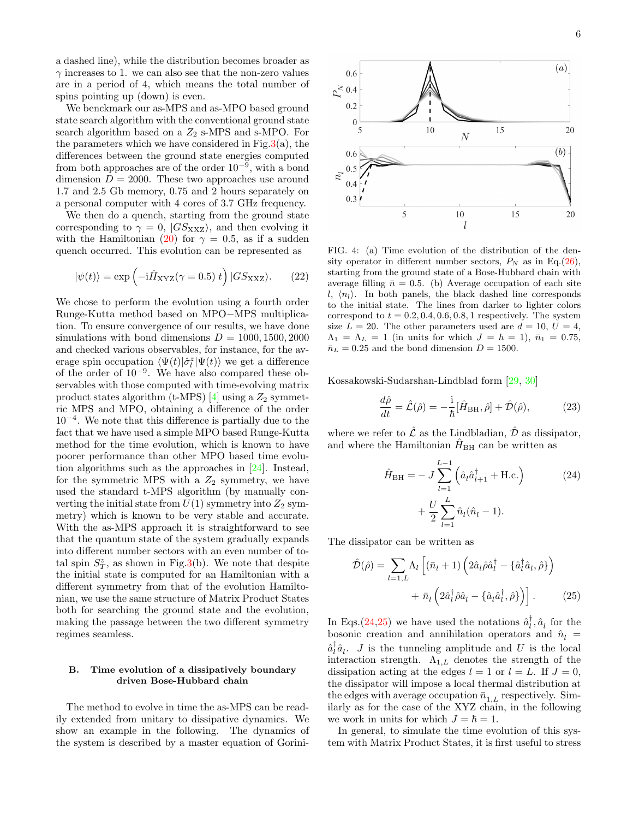a dashed line), while the distribution becomes broader as  $\gamma$  increases to 1. we can also see that the non-zero values are in a period of 4, which means the total number of spins pointing up (down) is even.

We benckmark our as-MPS and as-MPO based ground state search algorithm with the conventional ground state search algorithm based on a  $Z_2$  s-MPS and s-MPO. For the parameters which we have considered in Fig[.3\(](#page-4-2)a), the differences between the ground state energies computed from both approaches are of the order  $10^{-9}$ , with a bond dimension  $D = 2000$ . These two approaches use around 1.7 and 2.5 Gb memory, 0.75 and 2 hours separately on a personal computer with 4 cores of 3.7 GHz frequency.

We then do a quench, starting from the ground state corresponding to  $\gamma = 0$ ,  $|GS_{\text{XXZ}}\rangle$ , and then evolving it with the Hamiltonian [\(20\)](#page-4-3) for  $\gamma = 0.5$ , as if a sudden quench occurred. This evolution can be represented as

$$
|\psi(t)\rangle = \exp\left(-i\hat{H}_{\rm XYZ}(\gamma = 0.5) t\right)|GS_{\rm XXZ}\rangle. \tag{22}
$$

We chose to perform the evolution using a fourth order Runge-Kutta method based on MPO−MPS multiplication. To ensure convergence of our results, we have done simulations with bond dimensions  $D = 1000, 1500, 2000$ and checked various observables, for instance, for the average spin occupation  $\langle \Psi(t)|\hat{\sigma}_l^z|\Psi(t)\rangle$  we get a difference of the order of  $10^{-9}$ . We have also compared these observables with those computed with time-evolving matrix product states algorithm (t-MPS)  $[4]$  using a  $Z_2$  symmetric MPS and MPO, obtaining a difference of the order 10<sup>−</sup><sup>4</sup> . We note that this difference is partially due to the fact that we have used a simple MPO based Runge-Kutta method for the time evolution, which is known to have poorer performance than other MPO based time evolution algorithms such as the approaches in [\[24\]](#page-7-12). Instead, for the symmetric MPS with a  $Z_2$  symmetry, we have used the standard t-MPS algorithm (by manually converting the initial state from  $U(1)$  symmetry into  $Z_2$  symmetry) which is known to be very stable and accurate. With the as-MPS approach it is straightforward to see that the quantum state of the system gradually expands into different number sectors with an even number of total spin  $S_T^z$ , as shown in Fig[.3\(](#page-4-2)b). We note that despite the initial state is computed for an Hamiltonian with a different symmetry from that of the evolution Hamiltonian, we use the same structure of Matrix Product States both for searching the ground state and the evolution, making the passage between the two different symmetry regimes seamless.

## <span id="page-5-0"></span>B. Time evolution of a dissipatively boundary driven Bose-Hubbard chain

The method to evolve in time the as-MPS can be readily extended from unitary to dissipative dynamics. We show an example in the following. The dynamics of the system is described by a master equation of Gorini-



<span id="page-5-3"></span>FIG. 4: (a) Time evolution of the distribution of the density operator in different number sectors,  $P_N$  as in Eq.[\(26\)](#page-6-1), starting from the ground state of a Bose-Hubbard chain with average filling  $\bar{n} = 0.5$ . (b) Average occupation of each site  $l, \langle n_l \rangle$ . In both panels, the black dashed line corresponds to the initial state. The lines from darker to lighter colors correspond to  $t = 0.2, 0.4, 0.6, 0.8, 1$  respectively. The system size  $L = 20$ . The other parameters used are  $d = 10$ ,  $U = 4$ ,  $\Lambda_1 = \Lambda_L = 1$  (in units for which  $J = \hbar = 1$ ),  $\bar{n}_1 = 0.75$ ,  $\bar{n}_L = 0.25$  and the bond dimension  $D = 1500$ .

Kossakowski-Sudarshan-Lindblad form [\[29,](#page-7-17) [30\]](#page-7-18)

$$
\frac{d\hat{\rho}}{dt} = \hat{\mathcal{L}}(\hat{\rho}) = -\frac{i}{\hbar} [\hat{H}_{\rm BH}, \hat{\rho}] + \hat{\mathcal{D}}(\hat{\rho}),\tag{23}
$$

where we refer to  $\hat{\mathcal{L}}$  as the Lindbladian,  $\hat{\mathcal{D}}$  as dissipator, and where the Hamiltonian  $\hat{H}_{\text{BH}}$  can be written as

<span id="page-5-1"></span>
$$
\hat{H}_{\rm BH} = -J \sum_{l=1}^{L-1} (\hat{a}_l \hat{a}_{l+1}^\dagger + \text{H.c.})
$$
\n
$$
+ \frac{U}{2} \sum_{l=1}^L \hat{n}_l (\hat{n}_l - 1).
$$
\n(24)

The dissipator can be written as

<span id="page-5-2"></span>
$$
\hat{\mathcal{D}}(\hat{\rho}) = \sum_{l=1,L} \Lambda_l \left[ (\bar{n}_l + 1) \left( 2 \hat{a}_l \hat{\rho} \hat{a}_l^\dagger - \{\hat{a}_l^\dagger \hat{a}_l, \hat{\rho}\} \right) \right. \\
\left. + \bar{n}_l \left( 2 \hat{a}_l^\dagger \hat{\rho} \hat{a}_l - \{\hat{a}_l \hat{a}_l^\dagger, \hat{\rho}\} \right) \right].\n\tag{25}
$$

In Eqs.[\(24,](#page-5-1)[25\)](#page-5-2) we have used the notations  $\hat{a}_l^{\dagger}$ ,  $\hat{a}_l$  for the bosonic creation and annihilation operators and  $\hat{n}_l$  =  $\hat{a}_{l}^{\dagger} \hat{a}_{l}$ . *J* is the tunneling amplitude and *U* is the local interaction strength.  $\Lambda_{1,L}$  denotes the strength of the dissipation acting at the edges  $l = 1$  or  $l = L$ . If  $J = 0$ , the dissipator will impose a local thermal distribution at the edges with average occupation  $\bar{n}_{1,L}$  respectively. Similarly as for the case of the XYZ chain, in the following we work in units for which  $J = \hbar = 1$ .

In general, to simulate the time evolution of this system with Matrix Product States, it is first useful to stress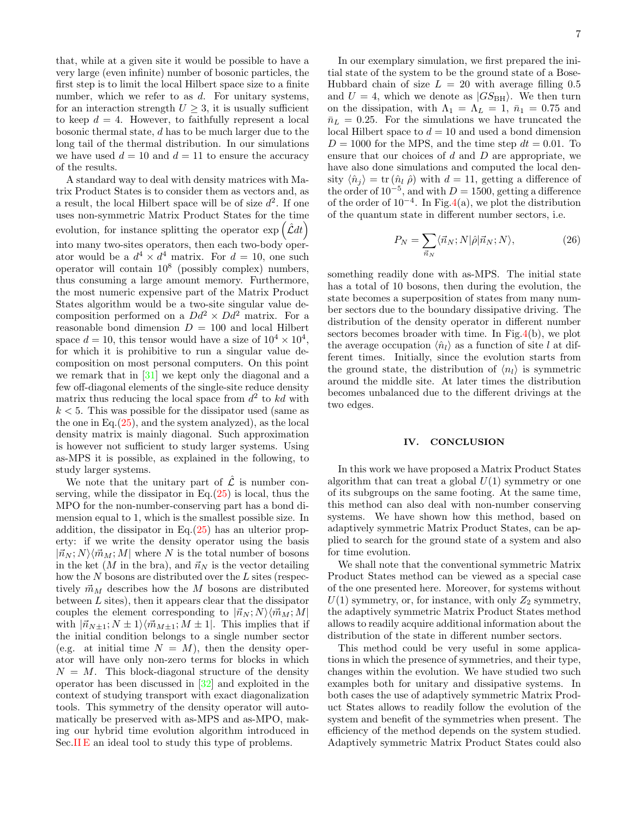that, while at a given site it would be possible to have a very large (even infinite) number of bosonic particles, the first step is to limit the local Hilbert space size to a finite number, which we refer to as  $d$ . For unitary systems, for an interaction strength  $U \geq 3$ , it is usually sufficient to keep  $d = 4$ . However, to faithfully represent a local bosonic thermal state, d has to be much larger due to the long tail of the thermal distribution. In our simulations we have used  $d = 10$  and  $d = 11$  to ensure the accuracy of the results.

A standard way to deal with density matrices with Matrix Product States is to consider them as vectors and, as a result, the local Hilbert space will be of size  $d^2$ . If one uses non-symmetric Matrix Product States for the time evolution, for instance splitting the operator  $\exp\left(\hat{\mathcal{L}}dt\right)$ into many two-sites operators, then each two-body operator would be a  $d^4 \times d^4$  matrix. For  $d = 10$ , one such operator will contain 10<sup>8</sup> (possibly complex) numbers, thus consuming a large amount memory. Furthermore, the most numeric expensive part of the Matrix Product States algorithm would be a two-site singular value decomposition performed on a  $Dd^2 \times Dd^2$  matrix. For a reasonable bond dimension  $D = 100$  and local Hilbert space  $d = 10$ , this tensor would have a size of  $10^4 \times 10^4$ , for which it is prohibitive to run a singular value decomposition on most personal computers. On this point we remark that in [\[31\]](#page-7-19) we kept only the diagonal and a few off-diagonal elements of the single-site reduce density matrix thus reducing the local space from  $d^2$  to kd with  $k < 5$ . This was possible for the dissipator used (same as the one in Eq. $(25)$ , and the system analyzed), as the local density matrix is mainly diagonal. Such approximation is however not sufficient to study larger systems. Using as-MPS it is possible, as explained in the following, to study larger systems.

We note that the unitary part of  $\mathcal{\hat{L}}$  is number conserving, while the dissipator in Eq. $(25)$  is local, thus the MPO for the non-number-conserving part has a bond dimension equal to 1, which is the smallest possible size. In addition, the dissipator in Eq. $(25)$  has an ulterior property: if we write the density operator using the basis  $|\vec{n}_N;N\rangle\langle\vec{m}_M;M|$  where N is the total number of bosons in the ket  $(M$  in the bra), and  $\vec{n}_N$  is the vector detailing how the  $N$  bosons are distributed over the  $L$  sites (respectively  $\vec{m}_M$  describes how the M bosons are distributed between  $L$  sites), then it appears clear that the dissipator couples the element corresponding to  $|\vec{n}_N;N\rangle\langle\vec{m}_M;M|$ with  $|\vec{n}_{N+1}; N \pm 1\rangle \langle \vec{m}_{M+1}; M \pm 1|$ . This implies that if the initial condition belongs to a single number sector (e.g. at initial time  $N = M$ ), then the density operator will have only non-zero terms for blocks in which  $N = M$ . This block-diagonal structure of the density operator has been discussed in [\[32\]](#page-7-20) and exploited in the context of studying transport with exact diagonalization tools. This symmetry of the density operator will automatically be preserved with as-MPS and as-MPO, making our hybrid time evolution algorithm introduced in Sec[.II E](#page-3-0) an ideal tool to study this type of problems.

In our exemplary simulation, we first prepared the initial state of the system to be the ground state of a Bose-Hubbard chain of size  $L = 20$  with average filling 0.5 and  $U = 4$ , which we denote as  $|GS_{BH}\rangle$ . We then turn on the dissipation, with  $\Lambda_1 = \Lambda_L = 1$ ,  $\bar{n}_1 = 0.75$  and  $\bar{n}_L = 0.25$ . For the simulations we have truncated the local Hilbert space to  $d = 10$  and used a bond dimension  $D = 1000$  for the MPS, and the time step  $dt = 0.01$ . To ensure that our choices of  $d$  and  $D$  are appropriate, we have also done simulations and computed the local density  $\langle \hat{n}_i \rangle = \text{tr} (\hat{n}_l \hat{\rho})$  with  $d = 11$ , getting a difference of the order of  $10^{-5}$ , and with  $D = 1500$ , getting a difference of the order of  $10^{-4}$ . In Fig[.4\(](#page-5-3)a), we plot the distribution of the quantum state in different number sectors, i.e.

<span id="page-6-1"></span>
$$
P_N = \sum_{\vec{n}_N} \langle \vec{n}_N; N | \hat{\rho} | \vec{n}_N; N \rangle, \tag{26}
$$

something readily done with as-MPS. The initial state has a total of 10 bosons, then during the evolution, the state becomes a superposition of states from many number sectors due to the boundary dissipative driving. The distribution of the density operator in different number sectors becomes broader with time. In Fig[.4\(](#page-5-3)b), we plot the average occupation  $\langle \hat{n}_l \rangle$  as a function of site l at different times. Initially, since the evolution starts from the ground state, the distribution of  $\langle n_l \rangle$  is symmetric around the middle site. At later times the distribution becomes unbalanced due to the different drivings at the two edges.

### <span id="page-6-0"></span>IV. CONCLUSION

In this work we have proposed a Matrix Product States algorithm that can treat a global  $U(1)$  symmetry or one of its subgroups on the same footing. At the same time, this method can also deal with non-number conserving systems. We have shown how this method, based on adaptively symmetric Matrix Product States, can be applied to search for the ground state of a system and also for time evolution.

We shall note that the conventional symmetric Matrix Product States method can be viewed as a special case of the one presented here. Moreover, for systems without  $U(1)$  symmetry, or, for instance, with only  $Z_2$  symmetry, the adaptively symmetric Matrix Product States method allows to readily acquire additional information about the distribution of the state in different number sectors.

This method could be very useful in some applications in which the presence of symmetries, and their type, changes within the evolution. We have studied two such examples both for unitary and dissipative systems. In both cases the use of adaptively symmetric Matrix Product States allows to readily follow the evolution of the system and benefit of the symmetries when present. The efficiency of the method depends on the system studied. Adaptively symmetric Matrix Product States could also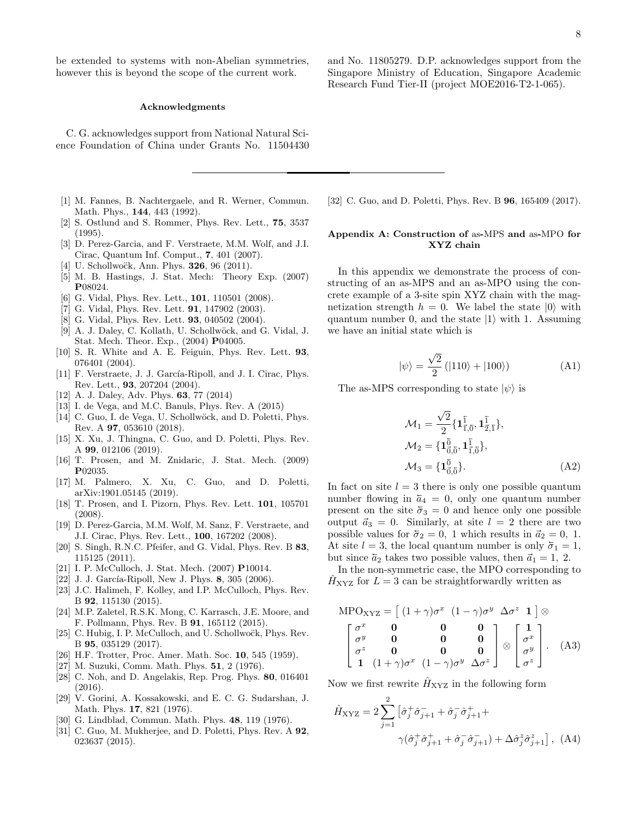be extended to systems with non-Abelian symmetries, however this is beyond the scope of the current work.

### Acknowledgments

C. G. acknowledges support from National Natural Science Foundation of China under Grants No. 11504430

- <span id="page-7-0"></span>[1] M. Fannes, B. Nachtergaele, and R. Werner, Commun. Math. Phys., 144, 443 (1992).
- [2] S. Ostlund and S. Rommer, Phys. Rev. Lett., 75, 3537 (1995).
- [3] D. Perez-Garcia, and F. Verstraete, M.M. Wolf, and J.I. Cirac, Quantum Inf. Comput., 7, 401 (2007).
- <span id="page-7-1"></span>[4] U. Schollwoëk, Ann. Phys.  $326$ , 96 (2011).
- <span id="page-7-2"></span>[5] M. B. Hastings, J. Stat. Mech: Theory Exp. (2007) P08024.
- <span id="page-7-3"></span>[6] G. Vidal, Phys. Rev. Lett., **101**, 110501 (2008).
- <span id="page-7-4"></span>[7] G. Vidal, Phys. Rev. Lett. **91**, 147902 (2003).
- [8] G. Vidal, Phys. Rev. Lett. **93**, 040502 (2004).
- <span id="page-7-7"></span>[9] A. J. Daley, C. Kollath, U. Schollwöck, and G. Vidal, J. Stat. Mech. Theor. Exp., (2004) P04005.
- [10] S. R. White and A. E. Feiguin, Phys. Rev. Lett. 93, 076401 (2004).
- [11] F. Verstraete, J. J. García-Ripoll, and J. I. Cirac, Phys. Rev. Lett., 93, 207204 (2004).
- [12] A. J. Daley, Adv. Phys. **63**, 77 (2014)
- [13] I. de Vega, and M.C. Banuls, Phys. Rev. A (2015)
- [14] C. Guo, I. de Vega, U. Schollwöck, and D. Poletti, Phys. Rev. A 97, 053610 (2018).
- [15] X. Xu, J. Thingna, C. Guo, and D. Poletti, Phys. Rev. A 99, 012106 (2019).
- [16] T. Prosen, and M. Znidaric, J. Stat. Mech. (2009) P02035.
- <span id="page-7-5"></span>[17] M. Palmero, X. Xu, C. Guo, and D. Poletti, arXiv:1901.05145 (2019).
- <span id="page-7-6"></span>[18] T. Prosen, and I. Pizorn, Phys. Rev. Lett. 101, 105701 (2008).
- <span id="page-7-8"></span>[19] D. Perez-Garcia, M.M. Wolf, M. Sanz, F. Verstraete, and J.I. Cirac, Phys. Rev. Lett., 100, 167202 (2008).
- <span id="page-7-9"></span>[20] S. Singh, R.N.C. Pfeifer, and G. Vidal, Phys. Rev. B 83, 115125 (2011).
- <span id="page-7-10"></span>[21] I. P. McCulloch, J. Stat. Mech. (2007) P10014.
- <span id="page-7-11"></span>[22] J. J. García-Ripoll, New J. Phys. 8, 305 (2006).
- [23] J.C. Halimeh, F. Kolley, and I.P. McCulloch, Phys. Rev. B 92, 115130 (2015).
- <span id="page-7-12"></span>[24] M.P. Zaletel, R.S.K. Mong, C. Karrasch, J.E. Moore, and F. Pollmann, Phys. Rev. B 91, 165112 (2015).
- <span id="page-7-13"></span>[25] C. Hubig, I. P. McCulloch, and U. Schollwock, Phys. Rev. B 95, 035129 (2017).
- <span id="page-7-14"></span>[26] H.F. Trotter, Proc. Amer. Math. Soc. 10, 545 (1959).
- <span id="page-7-15"></span>[27] M. Suzuki, Comm. Math. Phys. 51, 2 (1976).
- <span id="page-7-16"></span>[28] C. Noh, and D. Angelakis, Rep. Prog. Phys. 80, 016401 (2016).
- <span id="page-7-17"></span>[29] V. Gorini, A. Kossakowski, and E. C. G. Sudarshan, J. Math. Phys. 17, 821 (1976).
- <span id="page-7-18"></span>[30] G. Lindblad, Commun. Math. Phys. **48**, 119 (1976).
- <span id="page-7-19"></span>[31] C. Guo, M. Mukherjee, and D. Poletti, Phys. Rev. A **92**, 023637 (2015).

and No. 11805279. D.P. acknowledges support from the Singapore Ministry of Education, Singapore Academic Research Fund Tier-II (project MOE2016-T2-1-065).

<span id="page-7-20"></span>[32] C. Guo, and D. Poletti, Phys. Rev. B **96**, 165409 (2017).

## Appendix A: Construction of as-MPS and as-MPO for XYZ chain

In this appendix we demonstrate the process of constructing of an as-MPS and an as-MPO using the concrete example of a 3-site spin XYZ chain with the magnetization strength  $h = 0$ . We label the state  $|0\rangle$  with quantum number 0, and the state  $|1\rangle$  with 1. Assuming we have an initial state which is

$$
|\psi\rangle = \frac{\sqrt{2}}{2} (|110\rangle + |100\rangle)
$$
 (A1)

The as-MPS corresponding to state  $|\psi\rangle$  is

$$
\mathcal{M}_1 = \frac{\sqrt{2}}{2} \{ \mathbf{1}_{\vec{1}, \vec{0}}^{\bar{1}}, \mathbf{1}_{\vec{2}, \vec{1}}^{\bar{1}} \},
$$
  
\n
$$
\mathcal{M}_2 = \{ \mathbf{1}_{0, \vec{0}}^{\vec{0}}, \mathbf{1}_{\vec{1}, \vec{0}}^{\vec{1}} \},
$$
  
\n
$$
\mathcal{M}_3 = \{ \mathbf{1}_{0, \vec{0}}^{\vec{0}} \}.
$$
  
\n(A2)

In fact on site  $l = 3$  there is only one possible quantum number flowing in  $\overline{a}_4 = 0$ , only one quantum number present on the site  $\bar{\sigma}_3 = 0$  and hence only one possible output  $\vec{a}_3 = 0$ . Similarly, at site  $l = 2$  there are two possible values for  $\overline{\sigma}_2 = 0$ , 1 which results in  $\overline{a}_2 = 0$ , 1. At site  $l = 3$ , the local quantum number is only  $\overline{\sigma}_1 = 1$ , but since  $\bar{a}_2$  takes two possible values, then  $\bar{a}_1 = 1, 2$ .

In the non-symmetric case, the MPO corresponding to  $H<sub>XYZ</sub>$  for  $L = 3$  can be straightforwardly written as

$$
MPO_{XYZ} = \begin{bmatrix} (1+\gamma)\sigma^x & (1-\gamma)\sigma^y & \Delta\sigma^z & 1 \end{bmatrix} \otimes
$$

$$
\begin{bmatrix} \sigma^x & \mathbf{0} & \mathbf{0} & \mathbf{0} \\ \sigma^y & \mathbf{0} & \mathbf{0} & \mathbf{0} \\ \sigma^z & \mathbf{0} & \mathbf{0} & \mathbf{0} \\ \mathbf{1} & (1+\gamma)\sigma^x & (1-\gamma)\sigma^y & \Delta\sigma^z \end{bmatrix} \otimes \begin{bmatrix} 1 \\ \sigma^x \\ \sigma^y \\ \sigma^z \end{bmatrix}.
$$
 (A3)

Now we first rewrite  $\hat{H}_{\text{XYZ}}$  in the following form

$$
\hat{H}_{\text{XYZ}} = 2 \sum_{j=1}^{2} \left[ \hat{\sigma}_{j}^{+} \hat{\sigma}_{j+1}^{-} + \hat{\sigma}_{j}^{-} \hat{\sigma}_{j+1}^{+} + \right. \\
\left. \gamma (\hat{\sigma}_{j}^{+} \hat{\sigma}_{j+1}^{+} + \hat{\sigma}_{j}^{-} \hat{\sigma}_{j+1}^{-}) + \Delta \hat{\sigma}_{j}^{z} \hat{\sigma}_{j+1}^{z} \right], \text{ (A4)}
$$